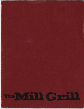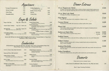Appetizers

| <b>Escargot Bourguignonne</b> | 5.95 | <b>Stuffed Mushrooms</b><br>Served baked or deep fried | 5.95 |
|-------------------------------|------|--------------------------------------------------------|------|
| <b>Shrimp Cocktail</b>        | 6.25 | <b>Buffalo Chicken Wings</b>                           | 6.25 |
| <b>Onion Rings</b>            | 2.95 | Nachos                                                 | 3.95 |
| Mozzarella Sticks             | 5.25 | <b>Cheese Puffs</b>                                    | 3.95 |
|                               |      |                                                        |      |

|                                                                                    | Ovavo u            |
|------------------------------------------------------------------------------------|--------------------|
| Soup of the Day                                                                    | Cup 1.50 Bowl 2.25 |
| <b>French Onion Gratinee</b>                                                       | Cup 2.25 Bowl 3.50 |
| Mill Grill Chili<br>Topped with Cheese, Sour Cream on side                         | Cup 2.50 Bowl 3.75 |
| <b>Cold Salmon Platter</b><br>Served with Tomatoes, Onions, sliced Eggs and Creamy | 7.95               |

**Dill Sauce** 

Soups & Salads

|              | lossed House Salad<br>Senied with your choice of dressing                                                        |      |
|--------------|------------------------------------------------------------------------------------------------------------------|------|
| 50           | Seafood Primavera<br>A combination of Shrimp, Crabmeat, assorted vegetables,<br>Egg Noodles w/Garlic Cream Sauce | 7.95 |
| .75          | Spinach Salad<br>Garnished with Almonds, Mushrooms, Eggs, topped with<br>an Artichoke Heart                      | 5.75 |
|              | w/grilled Chicken or Shrimp                                                                                      | 7.95 |
| .95<br>17724 | <b>Chef's Salad</b><br>Diced Ham, Turkey, and Vegetables served with Cheddar<br><b>Cheese and Dressing</b>       | 5.95 |
|              |                                                                                                                  |      |

Served with Mill Race Inn's Special Herbed Vinaigrette, Ranch, French, Thousand Island or Poppy Seed. Hot Bacon or Bleu Cheese .85 extra

Sandwicher

All Sandwiches are served with Mill Fries, Cole Slaw, and a choice of homebaked Kaiser Roll, Whole Wheat, Vienna, Caraway Rye, or Pumpernickle Bread.

| U.S.D.A. Choice Strip Steak Sandwich                                                                 | 9.25 |
|------------------------------------------------------------------------------------------------------|------|
| Seasoned Prime Rib Sandwich                                                                          | 9.50 |
| Grilled Chicken Teriyaki<br>Served with Lettuce, Tornato, and Mayonnaise                             | 625  |
| Fish & Chips<br>Deep Fried Haddock, French Fries and Cole Slaw                                       | 6.95 |
| Chicken or Tuna Salad<br>Your choice served on a fluffy croissant or choice of home-<br>baked breads | 595  |

| <b>Grilled Reuben Sandwich</b>                                                       |      |
|--------------------------------------------------------------------------------------|------|
| Corned Beef, Sauerkraut, Swiss Cheese and 1000 Island<br>Dressing on Rye Bread       |      |
| <b>Grilled Cheese</b>                                                                | 5.50 |
| With Bacon, Tomato, and your choice of Cheddar or Swiss<br>Cheese                    |      |
| <b>Gourmet Burger</b>                                                                | 6.50 |
| Choice of Sauteed Mushrooms, Avocado, Bacon, Chunky<br>Bleu Cheese, Cheddar or Swiss |      |
| Carvery Sandwich                                                                     | 695  |
| Along with Roast Beef and Corned Beef we will also<br>feature the Chef's Special     |      |

#### 10 oz. Peppercorn Sirloin A center cut top sirloin spiced with a mixtu and our own special seasoning salt, and search

### 10 oz. Strip Loin Steak A hearty cut of Strip Loin grilled to order

**Filet Mignon** Cut from the very heart of the tenderloin.

**Carvery Dinner** The favorite of the Mill Grill served as a dir

**Mixed Grill** Fresh salmon fillet and swordfish steak gri and sun dried tomato butter.

**Barbecued Back Ribs** Slow cooked with our special spicy sauce

**Stuffed Prawns** Grilled prawns with a crab and shrimp stu

# **Grilled Chicken**

Breast of chicken topped with a honey mu spicy chicken sausage

## Seafood Brochette

Scallop and tuna with zucchini and squash coated with spicy butter and served over Mill Grill Salsa

**Grilled Medallions** 

Tenderloin of beef served with grilled wild mushrooms and brandied au jus

Please ask to see our dessert menu Coffee, Brewed Decaffeinated Coffee, Brewed Ice Tea, Milk, Soft drinks

Dinner Entrees

| ure of fresh cracked black peppercorns<br>erved with whiskey peppercorn sauce. | 15.95          |
|--------------------------------------------------------------------------------|----------------|
|                                                                                | 19.95          |
| Grilled to order                                                               | 17.95          |
| aner with all the extras                                                       | 14.95          |
| lled and topped w/roasted pinenut                                              | 14.95          |
| <b>Half Slab</b><br><b>Full Slab</b>                                           | 10.95<br>17.50 |
| ffing served over rice with Hollandaise                                        | 15.95          |
| stard baste and accompanied by                                                 | 11.95          |
|                                                                                | 13.95          |

## 16.95

1.00

Desserts

Pipe & Cigar Smoking Prohibited.